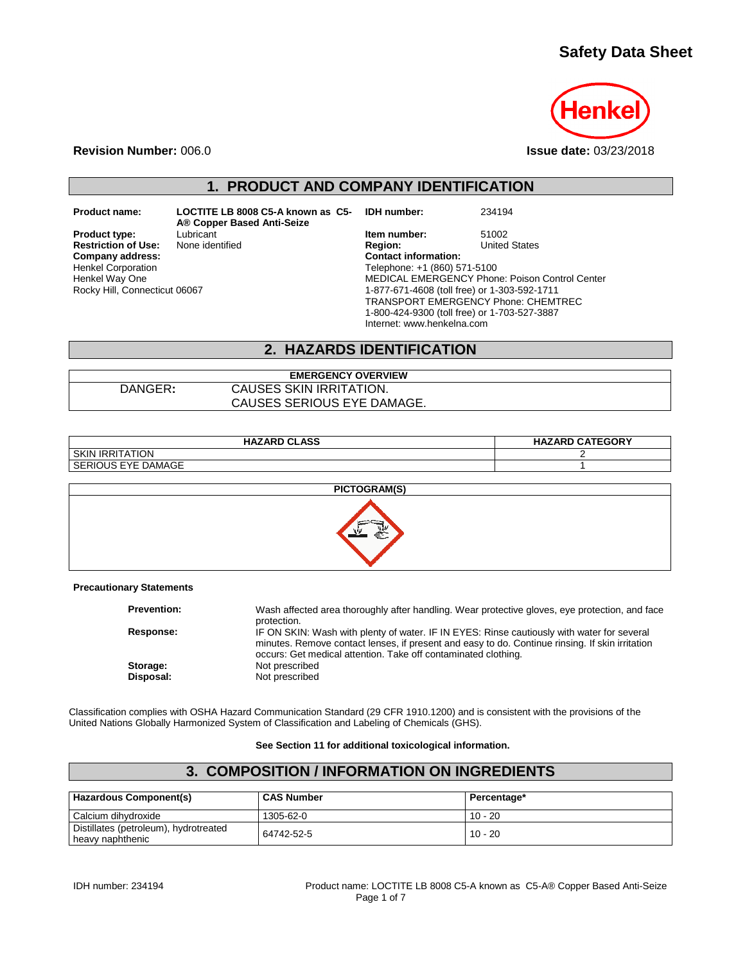## **Safety Data Sheet**



**Revision Number:** 006.0 **Issue date:** 03/23/2018

# **1. PRODUCT AND COMPANY IDENTIFICATION**

**Restriction of Use:**<br>Company address: Henkel Corporation Henkel Way One Rocky Hill, Connecticut 06067

**Product name: LOCTITE LB 8008 C5-A known as C5- A® Copper Based Anti-Seize**

**IDH number:** 234194

**Product type:** Lubricant **Integral Construct Lubricant Item number:** 51002<br> **Restriction of Use:** None identified **Integral Construct Product Construct** Construct Chates **Company address: Contact information:** Telephone: +1 (860) 571-5100 MEDICAL EMERGENCY Phone: Poison Control Center 1-877-671-4608 (toll free) or 1-303-592-1711 TRANSPORT EMERGENCY Phone: CHEMTREC 1-800-424-9300 (toll free) or 1-703-527-3887 Internet: www.henkelna.com

#### **2. HAZARDS IDENTIFICATION**

#### **EMERGENCY OVERVIEW** DANGER**:** CAUSES SKIN IRRITATION. CAUSES SERIOUS EYE DAMAGE.

| <b>HAZARD CLASS</b>       | <b>HAZARD CATEGORY</b> |
|---------------------------|------------------------|
| <b>SKIN IRRITATION</b>    |                        |
| <b>SERIOUS EYE DAMAGE</b> |                        |



**Precautionary Statements**

| <b>Prevention:</b> | Wash affected area thoroughly after handling. Wear protective gloves, eye protection, and face<br>protection.                                                                                 |
|--------------------|-----------------------------------------------------------------------------------------------------------------------------------------------------------------------------------------------|
| Response:          | IF ON SKIN: Wash with plenty of water. IF IN EYES: Rinse cautiously with water for several<br>minutes. Remove contact lenses, if present and easy to do. Continue rinsing. If skin irritation |
|                    | occurs: Get medical attention. Take off contaminated clothing.                                                                                                                                |
| Storage:           | Not prescribed                                                                                                                                                                                |
| Disposal:          | Not prescribed                                                                                                                                                                                |

Classification complies with OSHA Hazard Communication Standard (29 CFR 1910.1200) and is consistent with the provisions of the United Nations Globally Harmonized System of Classification and Labeling of Chemicals (GHS).

**See Section 11 for additional toxicological information.**

| 3. COMPOSITION / INFORMATION ON INGREDIENTS               |                   |             |
|-----------------------------------------------------------|-------------------|-------------|
| Hazardous Component(s)                                    | <b>CAS Number</b> | Percentage* |
| l Calcium dihvdroxide                                     | 1305-62-0         | $10 - 20$   |
| Distillates (petroleum), hydrotreated<br>heavy naphthenic | 64742-52-5        | $10 - 20$   |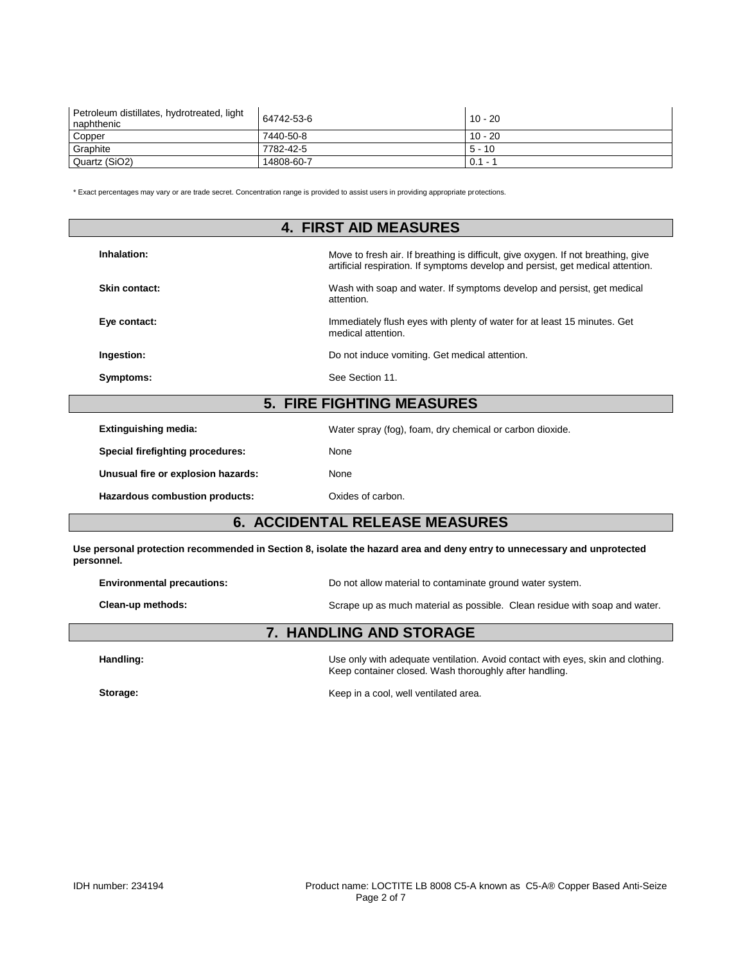| Petroleum distillates, hydrotreated, light<br>naphthenic | 64742-53-6 | $10 - 20$ |
|----------------------------------------------------------|------------|-----------|
| Copper                                                   | 7440-50-8  | $10 - 20$ |
| Graphite                                                 | 7782-42-5  | 5 - 10    |
| Quartz (SiO2)                                            | 14808-60-7 | $0.1 - ?$ |

\* Exact percentages may vary or are trade secret. Concentration range is provided to assist users in providing appropriate protections.

| <b>4. FIRST AID MEASURES</b>       |                                                                                                                                                                      |  |  |
|------------------------------------|----------------------------------------------------------------------------------------------------------------------------------------------------------------------|--|--|
| Inhalation:                        | Move to fresh air. If breathing is difficult, give oxygen. If not breathing, give<br>artificial respiration. If symptoms develop and persist, get medical attention. |  |  |
| Skin contact:                      | Wash with soap and water. If symptoms develop and persist, get medical<br>attention.                                                                                 |  |  |
| Eye contact:                       | Immediately flush eyes with plenty of water for at least 15 minutes. Get<br>medical attention.                                                                       |  |  |
| Ingestion:                         | Do not induce vomiting. Get medical attention.                                                                                                                       |  |  |
| Symptoms:                          | See Section 11.                                                                                                                                                      |  |  |
|                                    | <b>5. FIRE FIGHTING MEASURES</b>                                                                                                                                     |  |  |
| <b>Extinguishing media:</b>        | Water spray (fog), foam, dry chemical or carbon dioxide.                                                                                                             |  |  |
| Special firefighting procedures:   | None                                                                                                                                                                 |  |  |
| Unusual fire or explosion hazards: | None                                                                                                                                                                 |  |  |
| Hazardous combustion products:     | Oxides of carbon.                                                                                                                                                    |  |  |

## **6. ACCIDENTAL RELEASE MEASURES**

**Use personal protection recommended in Section 8, isolate the hazard area and deny entry to unnecessary and unprotected personnel.**

| <b>Environmental precautions:</b> | Do not allow material to contaminate ground water system.                  |  |
|-----------------------------------|----------------------------------------------------------------------------|--|
| Clean-up methods:                 | Scrape up as much material as possible. Clean residue with soap and water. |  |

#### **7. HANDLING AND STORAGE**

Handling: **Handling:** Use only with adequate ventilation. Avoid contact with eyes, skin and clothing. Keep container closed. Wash thoroughly after handling.

Storage: **Storage: Keep in a cool, well ventilated area. Keep in a cool, well ventilated area.**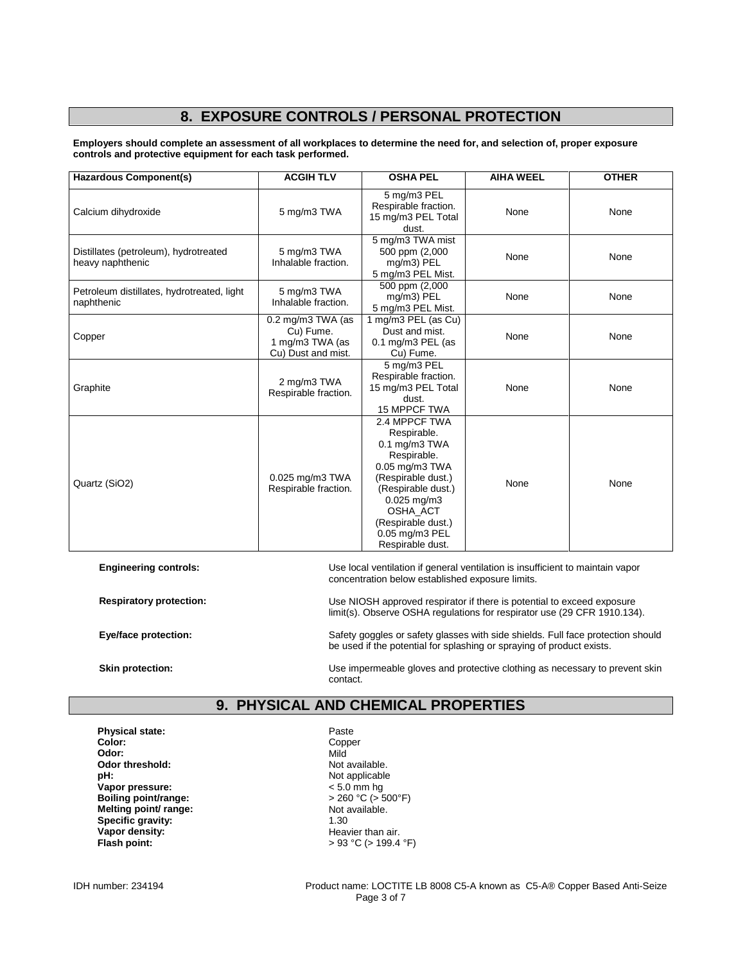# **8. EXPOSURE CONTROLS / PERSONAL PROTECTION**

**Employers should complete an assessment of all workplaces to determine the need for, and selection of, proper exposure controls and protective equipment for each task performed.**

| <b>Hazardous Component(s)</b>                             | <b>ACGIH TLV</b>                                                        | <b>OSHA PEL</b>                                                                                                                                                                                                          | <b>AIHA WEEL</b> | <b>OTHER</b> |
|-----------------------------------------------------------|-------------------------------------------------------------------------|--------------------------------------------------------------------------------------------------------------------------------------------------------------------------------------------------------------------------|------------------|--------------|
| Calcium dihydroxide                                       | 5 mg/m3 TWA                                                             | 5 mg/m3 PEL<br>Respirable fraction.<br>15 mg/m3 PEL Total<br>dust.                                                                                                                                                       | None             | None         |
| Distillates (petroleum), hydrotreated<br>heavy naphthenic | 5 mg/m3 TWA<br>Inhalable fraction.                                      | 5 mg/m3 TWA mist<br>500 ppm (2,000<br>mg/m3) PEL<br>5 mg/m3 PEL Mist.                                                                                                                                                    | None             | None         |
| Petroleum distillates, hydrotreated, light<br>naphthenic  | 5 mg/m3 TWA<br>Inhalable fraction.                                      | 500 ppm (2,000<br>mg/m3) PEL<br>5 mg/m3 PEL Mist.                                                                                                                                                                        | None             | None         |
| Copper                                                    | 0.2 mg/m3 TWA (as<br>Cu) Fume.<br>1 mg/m3 TWA (as<br>Cu) Dust and mist. | 1 mg/m3 PEL (as Cu)<br>Dust and mist.<br>0.1 mg/m3 PEL (as<br>Cu) Fume.                                                                                                                                                  | None             | None         |
| Graphite                                                  | 2 mg/m3 TWA<br>Respirable fraction.                                     | 5 mg/m3 PEL<br>Respirable fraction.<br>15 mg/m3 PEL Total<br>dust.<br>15 MPPCF TWA                                                                                                                                       | None             | None         |
| Quartz (SiO2)                                             | $0.025$ mg/m $3$ TWA<br>Respirable fraction.                            | 2.4 MPPCF TWA<br>Respirable.<br>$0.1$ mg/m $3$ TWA<br>Respirable.<br>0.05 mg/m3 TWA<br>(Respirable dust.)<br>(Respirable dust.)<br>$0.025$ mg/m3<br>OSHA_ACT<br>(Respirable dust.)<br>0.05 mg/m3 PEL<br>Respirable dust. | None             | None         |

**Engineering controls:** Use local ventilation if general ventilation is insufficient to maintain vapor concentration below established exposure limits.

**Respiratory protection:** Use NIOSH approved respirator if there is potential to exceed exposure limit(s). Observe OSHA regulations for respirator use (29 CFR 1910.134).

**Eye/face protection:** Safety goggles or safety glasses with side shields. Full face protection should be used if the potential for splashing or spraying of product exists.

**Skin protection:** Use impermeable gloves and protective clothing as necessary to prevent skin contact.

#### **9. PHYSICAL AND CHEMICAL PROPERTIES**

**Physical state:** Paste Paste<br> **Color:** Paste Polonic Paste Polonic Paste Polonic Paste Polonic Paste Paste Paste Paste Paste Paste Paste Paste Paste Paste Paste Paste Paste Paste Paste Paste Paste Paste Paste Paste Paste **Color:** Copper Color: Copper Color: Copper Color: Copper Color: Copper Color: Copper Color: Copper Color: Copper Color: Copper Color: Copper Color: Copper Color: Copper Color: Copper Copper Copper Copper Copper Copper Cop **Odor:** Mild **Odor threshold:** Not available.<br> **pH:** Not applicable **Vapor pressure:**  $\leq 5.0$  mm hg<br> **Boiling point/range:**  $\leq 260$  °C (> 500°F) **Boiling point/range:**  $\rightarrow$  260 °C ( $\rightarrow$  50<br> **Melting point/ range:** Not available. **Melting point/ range:** Not available. **Specific gravity:** 1.30 **Vapor density:**<br>
Flash point:<br>  $\begin{aligned} \text{Hear} & \rightarrow 93 \text{ °C} &(> 199.4) \end{aligned}$ 

Not applicable<br>  $\leq 5.0$  mm hg **Flash point:** > 93 °C (> 199.4 °F)

IDH number: 234194 Product name: LOCTITE LB 8008 C5-A known as C5-A® Copper Based Anti-Seize Page 3 of 7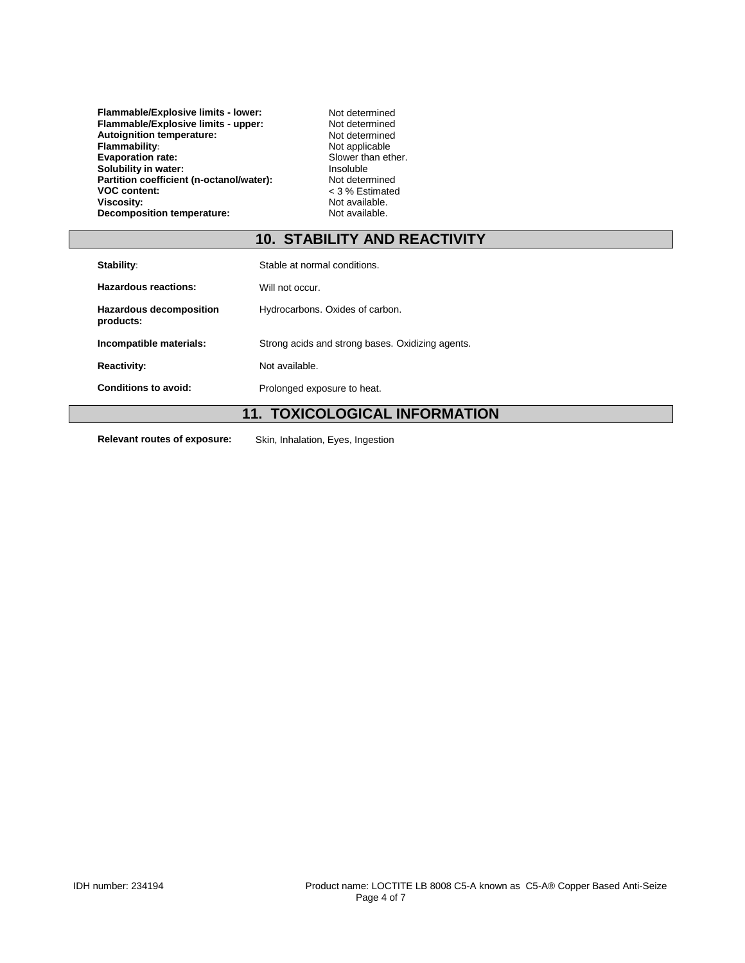**Flammable/Explosive limits - lower:** Not determined<br> **Flammable/Explosive limits - upper:** Not determined **Flammable/Explosive limits - upper:** Not determined<br> **Autoignition temperature:** Not determined **Autoignition temperature:** Not determined<br> **Flammability:** Not applicable **Flammability:**<br> **Flammability:**<br> **Flammability:**<br> **Flammability:**<br> **Flammability:**<br> **Flammability:**<br> **Slower than ether. Evaporation rate:** Slower than Evaporation rate:<br> **Solubility in water:** The ether of the slower than expected. **Solubility in water:** Insoluble<br> **Partition coefficient (n-octanol/water):** Not determined Partition coefficient (n-octanol/water):<br>VOC content: **VOC content:**  $\begin{array}{ccc} \cdot & \cdot & \cdot & \cdot \\ \text{Viscosity:} & \text{Not available.} \end{array}$ **Decomposition temperature:** 

Not available.<br>Not available.

## **10. STABILITY AND REACTIVITY**

| Stability:                           | Stable at normal conditions.                     |
|--------------------------------------|--------------------------------------------------|
| Hazardous reactions:                 | Will not occur.                                  |
| Hazardous decomposition<br>products: | Hydrocarbons. Oxides of carbon.                  |
| Incompatible materials:              | Strong acids and strong bases. Oxidizing agents. |
| <b>Reactivity:</b>                   | Not available.                                   |
| Conditions to avoid:                 | Prolonged exposure to heat.                      |

## **11. TOXICOLOGICAL INFORMATION**

**Relevant routes of exposure:** Skin, Inhalation, Eyes, Ingestion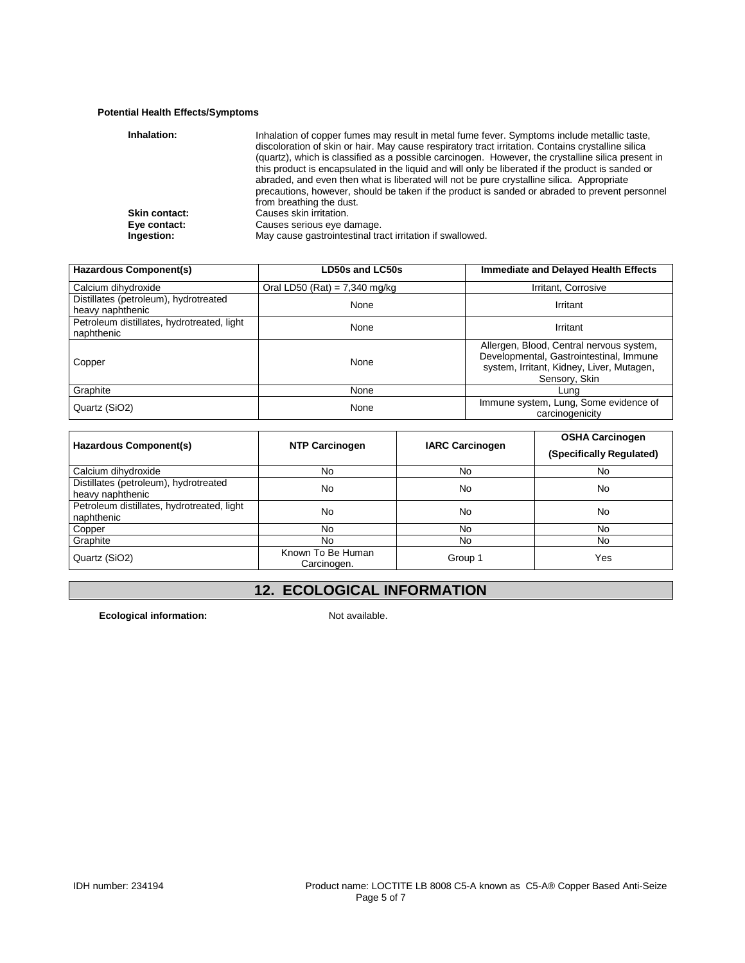#### **Potential Health Effects/Symptoms**

| Inhalation:   | Inhalation of copper fumes may result in metal fume fever. Symptoms include metallic taste,<br>discoloration of skin or hair. May cause respiratory tract irritation. Contains crystalline silica<br>(quartz), which is classified as a possible carcinogen. However, the crystalline silica present in<br>this product is encapsulated in the liquid and will only be liberated if the product is sanded or<br>abraded, and even then what is liberated will not be pure crystalline silica. Appropriate<br>precautions, however, should be taken if the product is sanded or abraded to prevent personnel<br>from breathing the dust. |
|---------------|-----------------------------------------------------------------------------------------------------------------------------------------------------------------------------------------------------------------------------------------------------------------------------------------------------------------------------------------------------------------------------------------------------------------------------------------------------------------------------------------------------------------------------------------------------------------------------------------------------------------------------------------|
| Skin contact: | Causes skin irritation.                                                                                                                                                                                                                                                                                                                                                                                                                                                                                                                                                                                                                 |
| Eye contact:  | Causes serious eye damage.                                                                                                                                                                                                                                                                                                                                                                                                                                                                                                                                                                                                              |
| Ingestion:    | May cause gastrointestinal tract irritation if swallowed.                                                                                                                                                                                                                                                                                                                                                                                                                                                                                                                                                                               |

| Hazardous Component(s)                                    | <b>LD50s and LC50s</b>          | <b>Immediate and Delayed Health Effects</b>                                                                                                       |
|-----------------------------------------------------------|---------------------------------|---------------------------------------------------------------------------------------------------------------------------------------------------|
| Calcium dihydroxide                                       | Oral LD50 (Rat) = $7,340$ mg/kg | Irritant, Corrosive                                                                                                                               |
| Distillates (petroleum), hydrotreated<br>heavy naphthenic | None                            | Irritant                                                                                                                                          |
| Petroleum distillates, hydrotreated, light<br>naphthenic  | None                            | Irritant                                                                                                                                          |
| Copper                                                    | None                            | Allergen, Blood, Central nervous system,<br>Developmental, Gastrointestinal, Immune<br>system, Irritant, Kidney, Liver, Mutagen,<br>Sensory, Skin |
| Graphite                                                  | None                            | Lung                                                                                                                                              |
| Quartz (SiO2)                                             | None                            | Immune system, Lung, Some evidence of<br>carcinogenicity                                                                                          |

| Hazardous Component(s)                                    | <b>NTP Carcinogen</b>            | <b>IARC Carcinogen</b> | <b>OSHA Carcinogen</b><br>(Specifically Regulated) |
|-----------------------------------------------------------|----------------------------------|------------------------|----------------------------------------------------|
| Calcium dihydroxide                                       | No.                              | No                     | No.                                                |
| Distillates (petroleum), hydrotreated<br>heavy naphthenic | No                               | No                     | No                                                 |
| Petroleum distillates, hydrotreated, light<br>naphthenic  | No                               | No                     | No                                                 |
| Copper                                                    | No                               | No                     | No.                                                |
| Graphite                                                  | No.                              | No                     | No.                                                |
| Quartz (SiO2)                                             | Known To Be Human<br>Carcinogen. | Group 1                | Yes                                                |

# **12. ECOLOGICAL INFORMATION**

**Ecological information:** Not available.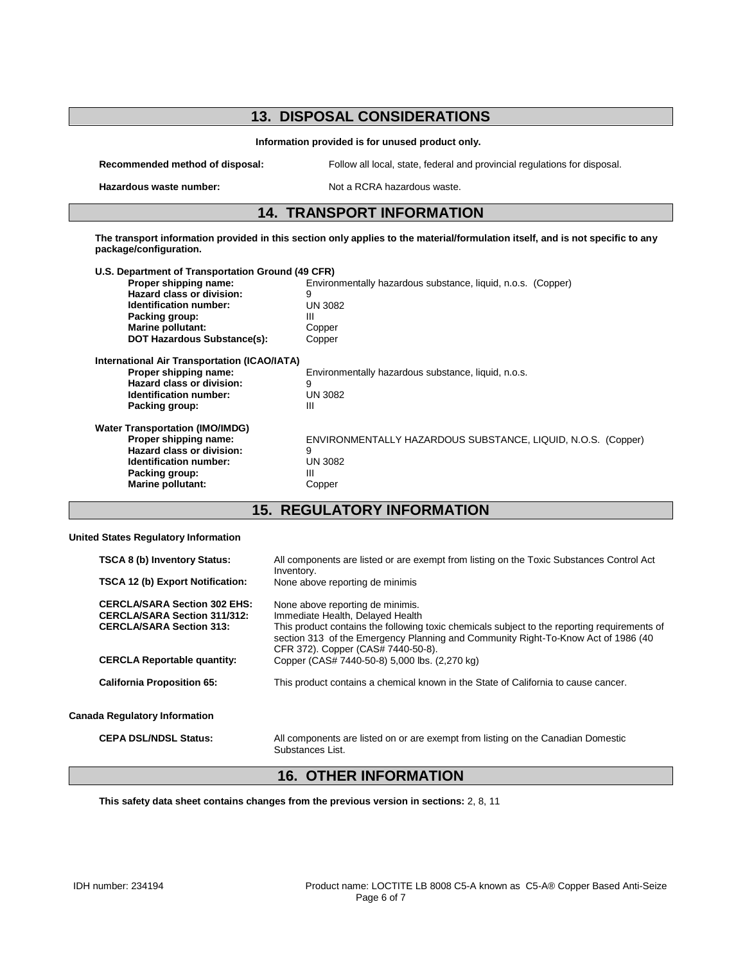#### **13. DISPOSAL CONSIDERATIONS Information provided is for unused product only. Recommended method of disposal:** Follow all local, state, federal and provincial regulations for disposal. **Hazardous waste number:** Not a RCRA hazardous waste. **14. TRANSPORT INFORMATION The transport information provided in this section only applies to the material/formulation itself, and is not specific to any package/configuration. U.S. Department of Transportation Ground (49 CFR)** Environmentally hazardous substance, liquid, n.o.s. (Copper) **Hazard class or division:** 9<br> **Identification number:** UN 3082 **Identification number:** UN<br>Packing group: III **Packing group:** III Marine pollutant: Copper **Marine pollutant: DOT Hazardous Substance(s):** Copper **International Air Transportation (ICAO/IATA) Proper shipping name:** Environmentally hazardous substance, liquid, n.o.s. **Hazard class or division:** 9<br> **Identification number:** UN 3082 **Identification number:** UN<br>Packing group: III **Packing group: Water Transportation (IMO/IMDG) Proper shipping name:** ENVIRONMENTALLY HAZARDOUS SUBSTANCE, LIQUID, N.O.S. (Copper) **Hazard class or division:** 9<br> **Identification number:** UN 3082 **Identification number:** UN<br>Packing group: III

**15. REGULATORY INFORMATION**

#### **United States Regulatory Information**

**Packing group:** 

**Marine pollutant:** Copper

| <b>TSCA 8 (b) Inventory Status:</b><br>TSCA 12 (b) Export Notification:                                       | All components are listed or are exempt from listing on the Toxic Substances Control Act<br>Inventory.<br>None above reporting de minimis                                                                                                                                                       |
|---------------------------------------------------------------------------------------------------------------|-------------------------------------------------------------------------------------------------------------------------------------------------------------------------------------------------------------------------------------------------------------------------------------------------|
| <b>CERCLA/SARA Section 302 EHS:</b><br><b>CERCLA/SARA Section 311/312:</b><br><b>CERCLA/SARA Section 313:</b> | None above reporting de minimis.<br>Immediate Health, Delayed Health<br>This product contains the following toxic chemicals subject to the reporting requirements of<br>section 313 of the Emergency Planning and Community Right-To-Know Act of 1986 (40<br>CFR 372). Copper (CAS# 7440-50-8). |
| <b>CERCLA Reportable quantity:</b>                                                                            | Copper (CAS# 7440-50-8) 5,000 lbs. (2,270 kg)                                                                                                                                                                                                                                                   |
| <b>California Proposition 65:</b>                                                                             | This product contains a chemical known in the State of California to cause cancer.                                                                                                                                                                                                              |
| <b>Canada Regulatory Information</b>                                                                          |                                                                                                                                                                                                                                                                                                 |
| <b>CEPA DSL/NDSL Status:</b>                                                                                  | All components are listed on or are exempt from listing on the Canadian Domestic<br>Substances List.                                                                                                                                                                                            |

#### **16. OTHER INFORMATION**

**This safety data sheet contains changes from the previous version in sections:** 2, 8, 11